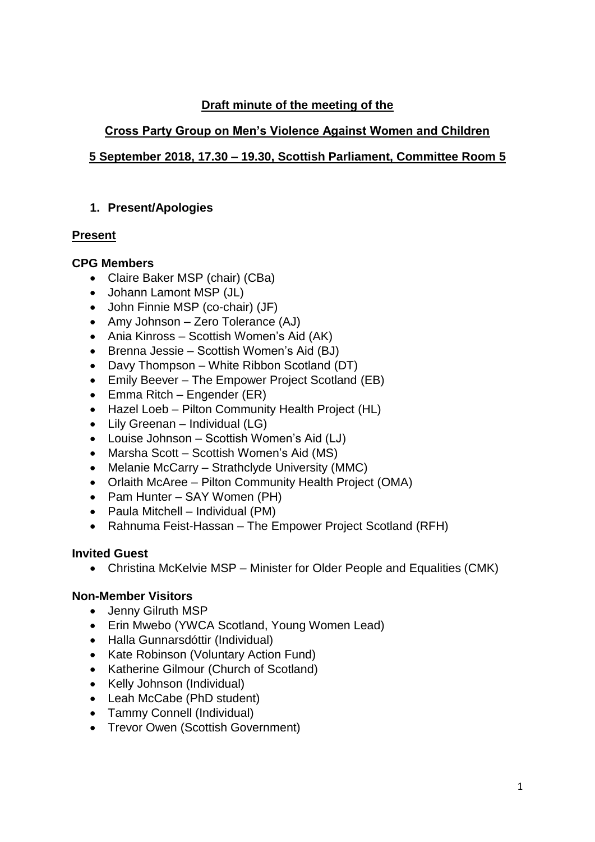#### **Draft minute of the meeting of the**

## **Cross Party Group on Men's Violence Against Women and Children**

# **5 September 2018, 17.30 – 19.30, Scottish Parliament, Committee Room 5**

### **1. Present/Apologies**

## **Present**

#### **CPG Members**

- Claire Baker MSP (chair) (CBa)
- Johann Lamont MSP (JL)
- John Finnie MSP (co-chair) (JF)
- Amy Johnson Zero Tolerance (AJ)
- Ania Kinross Scottish Women's Aid (AK)
- Brenna Jessie Scottish Women's Aid (BJ)
- Davy Thompson White Ribbon Scotland (DT)
- Emily Beever The Empower Project Scotland (EB)
- Emma Ritch Engender (ER)
- Hazel Loeb Pilton Community Health Project (HL)
- Lily Greenan Individual (LG)
- Louise Johnson Scottish Women's Aid (LJ)
- Marsha Scott Scottish Women's Aid (MS)
- Melanie McCarry Strathclyde University (MMC)
- Orlaith McAree Pilton Community Health Project (OMA)
- Pam Hunter SAY Women (PH)
- Paula Mitchell Individual (PM)
- Rahnuma Feist-Hassan The Empower Project Scotland (RFH)

## **Invited Guest**

• Christina McKelvie MSP – Minister for Older People and Equalities (CMK)

## **Non-Member Visitors**

- Jenny Gilruth MSP
- Erin Mwebo (YWCA Scotland, Young Women Lead)
- Halla Gunnarsdóttir (Individual)
- Kate Robinson (Voluntary Action Fund)
- Katherine Gilmour (Church of Scotland)
- Kelly Johnson (Individual)
- Leah McCabe (PhD student)
- Tammy Connell (Individual)
- Trevor Owen (Scottish Government)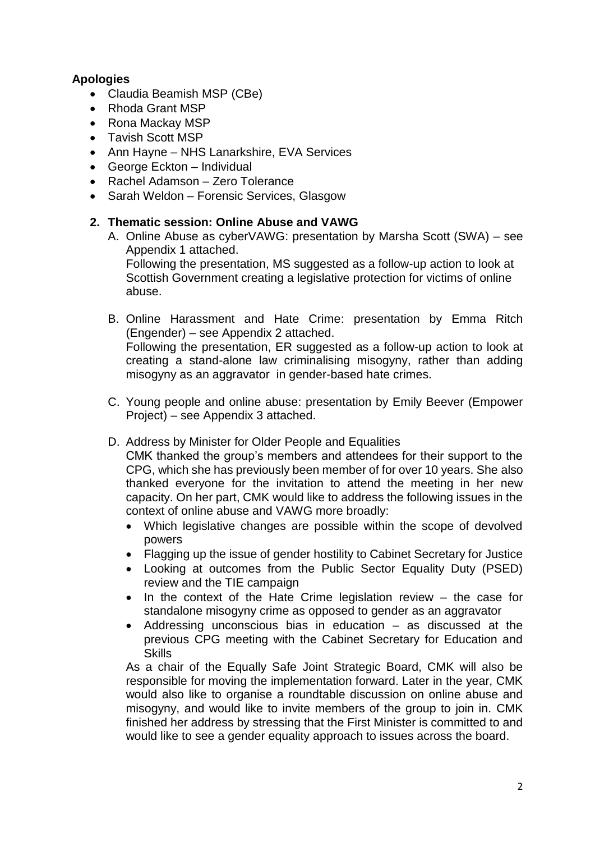#### **Apologies**

- Claudia Beamish MSP (CBe)
- Rhoda Grant MSP
- Rona Mackay MSP
- Tavish Scott MSP
- Ann Hayne NHS Lanarkshire, EVA Services
- George Eckton Individual
- Rachel Adamson Zero Tolerance
- Sarah Weldon Forensic Services, Glasgow

#### **2. Thematic session: Online Abuse and VAWG**

- A. Online Abuse as cyberVAWG: presentation by Marsha Scott (SWA) see Appendix 1 attached. Following the presentation, MS suggested as a follow-up action to look at Scottish Government creating a legislative protection for victims of online abuse.
- B. Online Harassment and Hate Crime: presentation by Emma Ritch (Engender) – see Appendix 2 attached. Following the presentation, ER suggested as a follow-up action to look at creating a stand-alone law criminalising misogyny, rather than adding misogyny as an aggravator in gender-based hate crimes.
- C. Young people and online abuse: presentation by Emily Beever (Empower Project) – see Appendix 3 attached.
- D. Address by Minister for Older People and Equalities

CMK thanked the group's members and attendees for their support to the CPG, which she has previously been member of for over 10 years. She also thanked everyone for the invitation to attend the meeting in her new capacity. On her part, CMK would like to address the following issues in the context of online abuse and VAWG more broadly:

- Which legislative changes are possible within the scope of devolved powers
- Flagging up the issue of gender hostility to Cabinet Secretary for Justice
- Looking at outcomes from the Public Sector Equality Duty (PSED) review and the TIE campaign
- In the context of the Hate Crime legislation review the case for standalone misogyny crime as opposed to gender as an aggravator
- Addressing unconscious bias in education  $-$  as discussed at the previous CPG meeting with the Cabinet Secretary for Education and **Skills**

As a chair of the Equally Safe Joint Strategic Board, CMK will also be responsible for moving the implementation forward. Later in the year, CMK would also like to organise a roundtable discussion on online abuse and misogyny, and would like to invite members of the group to join in. CMK finished her address by stressing that the First Minister is committed to and would like to see a gender equality approach to issues across the board.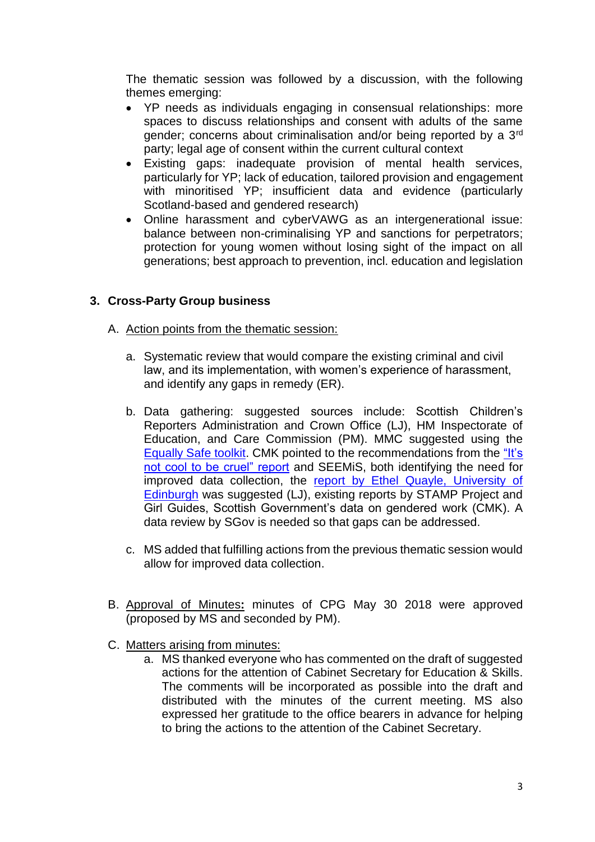The thematic session was followed by a discussion, with the following themes emerging:

- YP needs as individuals engaging in consensual relationships: more spaces to discuss relationships and consent with adults of the same gender; concerns about criminalisation and/or being reported by a 3rd party: legal age of consent within the current cultural context
- Existing gaps: inadequate provision of mental health services, particularly for YP; lack of education, tailored provision and engagement with minoritised YP; insufficient data and evidence (particularly Scotland-based and gendered research)
- Online harassment and cyberVAWG as an intergenerational issue: balance between non-criminalising YP and sanctions for perpetrators; protection for young women without losing sight of the impact on all generations; best approach to prevention, incl. education and legislation

#### **3. Cross-Party Group business**

- A. Action points from the thematic session:
	- a. Systematic review that would compare the existing criminal and civil law, and its implementation, with women's experience of harassment, and identify any gaps in remedy (ER).
	- b. Data gathering: suggested sources include: Scottish Children's Reporters Administration and Crown Office (LJ), HM Inspectorate of Education, and Care Commission (PM). MMC suggested using the [Equally Safe toolkit.](https://www.strath.ac.uk/humanities/schoolofsocialworksocialpolicy/equallysafeinhighereducation/eshetoolkit/) CMK pointed to the recommendations from the ["It's](https://digitalpublications.parliament.scot/Committees/Report/EHRiC/2017/7/6/It-is-not-Cool-to-be-Cruel--Prejudice-based-bullying-and-harassment-of-children-and-young-people-in-schools#Summary-of-Recommendations)  [not cool to be cruel" report](https://digitalpublications.parliament.scot/Committees/Report/EHRiC/2017/7/6/It-is-not-Cool-to-be-Cruel--Prejudice-based-bullying-and-harassment-of-children-and-young-people-in-schools#Summary-of-Recommendations) and SEEMiS, both identifying the need for improved data collection, the [report by Ethel Quayle, University of](https://www.research.ed.ac.uk/portal/en/persons/ethel-quayle(b7a77dee-0119-4720-b41a-9b6b02eb4755).html)  [Edinburgh](https://www.research.ed.ac.uk/portal/en/persons/ethel-quayle(b7a77dee-0119-4720-b41a-9b6b02eb4755).html) was suggested (LJ), existing reports by STAMP Project and Girl Guides, Scottish Government's data on gendered work (CMK). A data review by SGov is needed so that gaps can be addressed.
	- c. MS added that fulfilling actions from the previous thematic session would allow for improved data collection.
- B. Approval of Minutes**:** minutes of CPG May 30 2018 were approved (proposed by MS and seconded by PM).
- C. Matters arising from minutes:
	- a. MS thanked everyone who has commented on the draft of suggested actions for the attention of Cabinet Secretary for Education & Skills. The comments will be incorporated as possible into the draft and distributed with the minutes of the current meeting. MS also expressed her gratitude to the office bearers in advance for helping to bring the actions to the attention of the Cabinet Secretary.